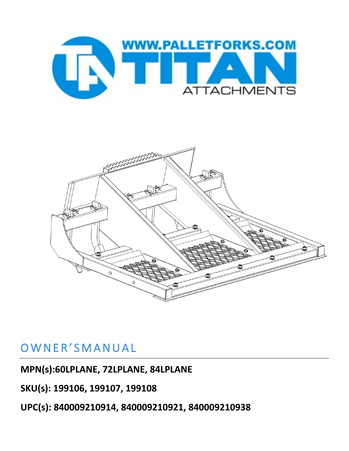



## OWNER'SMANUAL

**MPN(s):60LPLANE, 72LPLANE, 84LPLANE**

**SKU(s): 199106, 199107, 199108**

**UPC(s): 840009210914, 840009210921, 840009210938**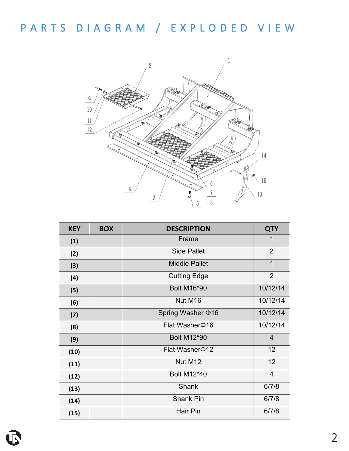

| <b>KEY</b> | <b>BOX</b> | <b>DESCRIPTION</b>      | <b>QTY</b>     |
|------------|------------|-------------------------|----------------|
| (1)        |            | Frame                   | 1              |
| (2)        |            | <b>Side Pallet</b>      | $\overline{2}$ |
| (3)        |            | <b>Middle Pallet</b>    | $\mathbf 1$    |
| (4)        |            | <b>Cutting Edge</b>     | $\overline{2}$ |
| (5)        |            | <b>Bolt M16*90</b>      | 10/12/14       |
| (6)        |            | Nut M16                 | 10/12/14       |
| (7)        |            | Spring Washer $\Phi$ 16 | 10/12/14       |
| (8)        |            | Flat Washer \$16        | 10/12/14       |
| (9)        |            | <b>Bolt M12*90</b>      | $\overline{4}$ |
| (10)       |            | Flat Washer $\Phi$ 12   | 12             |
| (11)       |            | Nut M12                 | 12             |
| (12)       |            | <b>Bolt M12*40</b>      | $\overline{4}$ |
| (13)       |            | <b>Shank</b>            | 6/7/8          |
| (14)       |            | <b>Shank Pin</b>        | 6/7/8          |
| (15)       |            | <b>Hair Pin</b>         | 6/7/8          |